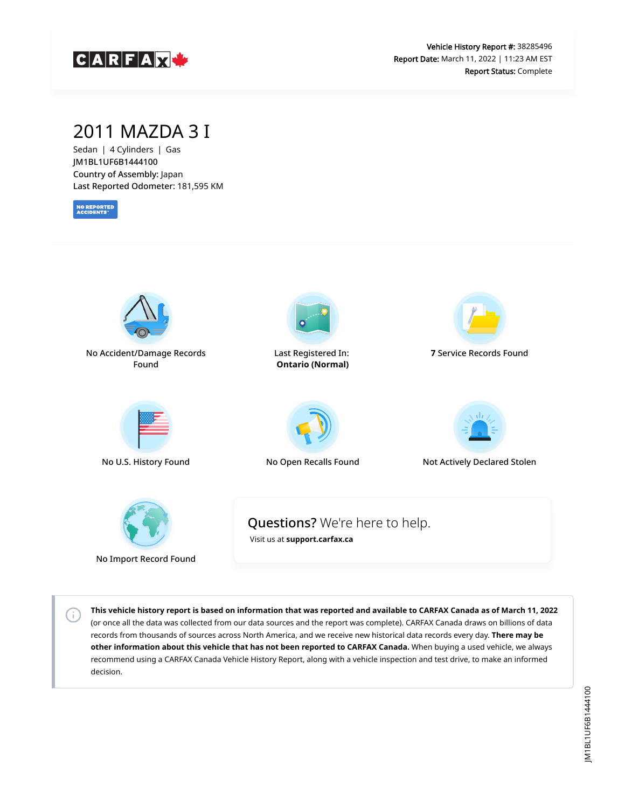

## 2011 MAZDA 3 I

Sedan | 4 Cylinders | Gas JM1BL1UF6B1444100 Country of Assembly: Japan Last Reported Odometer: 181,595 KM

**NO REPORTED**<br>ACCIDENTS

 $\left( \cdot \right)$ 



**This vehicle history report is based on information that was reported and available to CARFAX Canada as of March 11, 2022** (or once all the data was collected from our data sources and the report was complete). CARFAX Canada draws on billions of data records from thousands of sources across North America, and we receive new historical data records every day. **There may be other information about this vehicle that has not been reported to CARFAX Canada.** When buying a used vehicle, we always recommend using a CARFAX Canada Vehicle History Report, along with a vehicle inspection and test drive, to make an informed decision.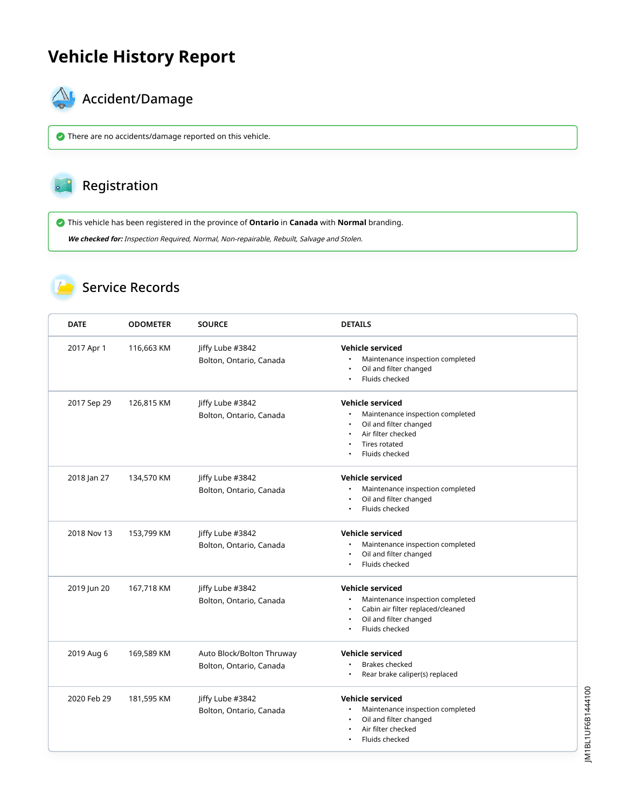# **Vehicle History Report**



# **AL** Accident/Damage

There are no accidents/damage reported on this vehicle.

#### Registration  $\sim$   $^{\circ}$

This vehicle has been registered in the province of **Ontario** in **Canada** with **Normal** branding.

**We checked for:** Inspection Required, Normal, Non-repairable, Rebuilt, Salvage and Stolen.

### Service Records

| <b>DATE</b> | <b>ODOMETER</b> | <b>SOURCE</b>                                        | <b>DETAILS</b>                                                                                                                                        |
|-------------|-----------------|------------------------------------------------------|-------------------------------------------------------------------------------------------------------------------------------------------------------|
| 2017 Apr 1  | 116,663 KM      | Jiffy Lube #3842<br>Bolton, Ontario, Canada          | Vehicle serviced<br>Maintenance inspection completed<br>$\bullet$<br>Oil and filter changed<br>$\bullet$<br>Fluids checked                            |
| 2017 Sep 29 | 126,815 KM      | Jiffy Lube #3842<br>Bolton, Ontario, Canada          | <b>Vehicle serviced</b><br>Maintenance inspection completed<br>Oil and filter changed<br>Air filter checked<br><b>Tires rotated</b><br>Fluids checked |
| 2018 Jan 27 | 134,570 KM      | Jiffy Lube #3842<br>Bolton, Ontario, Canada          | <b>Vehicle serviced</b><br>Maintenance inspection completed<br>Oil and filter changed<br>$\bullet$<br>Fluids checked<br>$\bullet$                     |
| 2018 Nov 13 | 153,799 KM      | Jiffy Lube #3842<br>Bolton, Ontario, Canada          | <b>Vehicle serviced</b><br>Maintenance inspection completed<br>Oil and filter changed<br>Fluids checked                                               |
| 2019 Jun 20 | 167,718 KM      | Jiffy Lube #3842<br>Bolton, Ontario, Canada          | Vehicle serviced<br>Maintenance inspection completed<br>Cabin air filter replaced/cleaned<br>Oil and filter changed<br>Fluids checked                 |
| 2019 Aug 6  | 169,589 KM      | Auto Block/Bolton Thruway<br>Bolton, Ontario, Canada | Vehicle serviced<br>Brakes checked<br>Rear brake caliper(s) replaced<br>$\bullet$                                                                     |
| 2020 Feb 29 | 181,595 KM      | Jiffy Lube #3842<br>Bolton, Ontario, Canada          | <b>Vehicle serviced</b><br>Maintenance inspection completed<br>Oil and filter changed<br>$\bullet$<br>Air filter checked<br>Fluids checked            |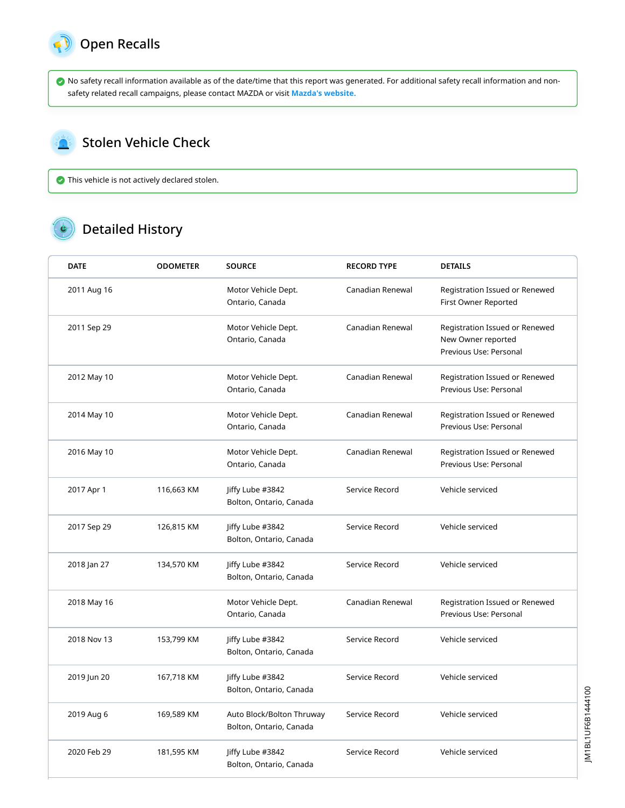<span id="page-2-0"></span>

 No safety recall information available as of the date/time that this report was generated. For additional safety recall information and nonsafety related recall campaigns, please contact MAZDA or visit **[Mazda's website.](https://www.mazda.ca/en/owners/recalls/)**

#### <span id="page-2-1"></span>Stolen Vehicle Check  $\sum_{i=1}^{n}$

This vehicle is not actively declared stolen.

### Detailed History

| <b>DATE</b> | <b>ODOMETER</b> | <b>SOURCE</b>                                        | <b>RECORD TYPE</b> | <b>DETAILS</b>                                                                 |
|-------------|-----------------|------------------------------------------------------|--------------------|--------------------------------------------------------------------------------|
| 2011 Aug 16 |                 | Motor Vehicle Dept.<br>Ontario, Canada               | Canadian Renewal   | Registration Issued or Renewed<br>First Owner Reported                         |
| 2011 Sep 29 |                 | Motor Vehicle Dept.<br>Ontario, Canada               | Canadian Renewal   | Registration Issued or Renewed<br>New Owner reported<br>Previous Use: Personal |
| 2012 May 10 |                 | Motor Vehicle Dept.<br>Ontario, Canada               | Canadian Renewal   | Registration Issued or Renewed<br>Previous Use: Personal                       |
| 2014 May 10 |                 | Motor Vehicle Dept.<br>Ontario, Canada               | Canadian Renewal   | Registration Issued or Renewed<br>Previous Use: Personal                       |
| 2016 May 10 |                 | Motor Vehicle Dept.<br>Ontario, Canada               | Canadian Renewal   | Registration Issued or Renewed<br>Previous Use: Personal                       |
| 2017 Apr 1  | 116,663 KM      | Jiffy Lube #3842<br>Bolton, Ontario, Canada          | Service Record     | Vehicle serviced                                                               |
| 2017 Sep 29 | 126,815 KM      | Jiffy Lube #3842<br>Bolton, Ontario, Canada          | Service Record     | Vehicle serviced                                                               |
| 2018 Jan 27 | 134,570 KM      | Jiffy Lube #3842<br>Bolton, Ontario, Canada          | Service Record     | Vehicle serviced                                                               |
| 2018 May 16 |                 | Motor Vehicle Dept.<br>Ontario, Canada               | Canadian Renewal   | Registration Issued or Renewed<br>Previous Use: Personal                       |
| 2018 Nov 13 | 153,799 KM      | Jiffy Lube #3842<br>Bolton, Ontario, Canada          | Service Record     | Vehicle serviced                                                               |
| 2019 Jun 20 | 167,718 KM      | Jiffy Lube #3842<br>Bolton, Ontario, Canada          | Service Record     | Vehicle serviced                                                               |
| 2019 Aug 6  | 169,589 KM      | Auto Block/Bolton Thruway<br>Bolton, Ontario, Canada | Service Record     | Vehicle serviced                                                               |
| 2020 Feb 29 | 181,595 KM      | Jiffy Lube #3842<br>Bolton, Ontario, Canada          | Service Record     | Vehicle serviced                                                               |